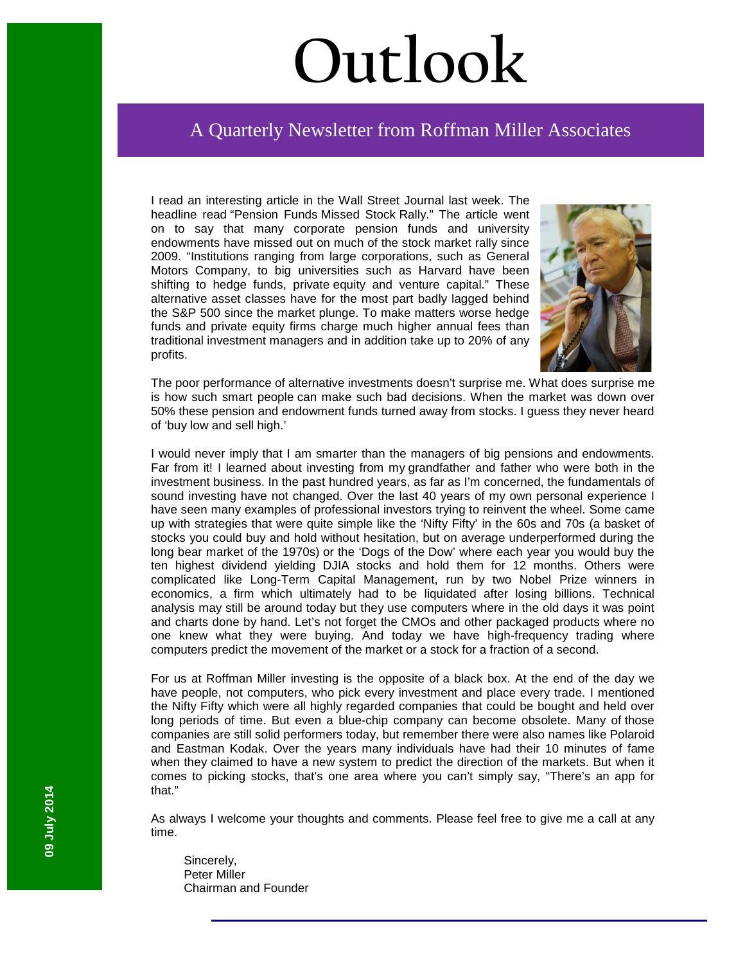# **Outlook**

# A Quarterly Newsletter from Roffman Miller Associates

I read an interesting article in the Wall Street Journal last week. The headline read "Pension Funds Missed Stock Rally." The article went on to say that many corporate pension funds and university endowments have missed out on much of the stock market rally since 2009. "Institutions ranging from large corporations, such as General Motors Company, to big universities such as Harvard have been shifting to hedge funds, private equity and venture capital." These alternative asset classes have for the most part badly lagged behind the S&P 500 since the market plunge. To make matters worse hedge funds and private equity firms charge much higher annual fees than traditional investment managers and in addition take up to 20% of any profits.



The poor performance of alternative investments doesn't surprise me. What does surprise me is how such smart people can make such bad decisions. When the market was down over 50% these pension and endowment funds turned away from stocks. I guess they never heard of 'buy low and sell high.'

I would never imply that I am smarter than the managers of big pensions and endowments. Far from it! I learned about investing from my grandfather and father who were both in the investment business. In the past hundred years, as far as I'm concerned, the fundamentals of sound investing have not changed. Over the last 40 years of my own personal experience I have seen many examples of professional investors trying to reinvent the wheel. Some came up with strategies that were quite simple like the 'Nifty Fifty' in the 60s and 70s (a basket of stocks you could buy and hold without hesitation, but on average underperformed during the long bear market of the 1970s) or the 'Dogs of the Dow' where each year you would buy the ten highest dividend yielding DJIA stocks and hold them for 12 months. Others were complicated like Long-Term Capital Management, run by two Nobel Prize winners in economics, a firm which ultimately had to be liquidated after losing billions. Technical analysis may still be around today but they use computers where in the old days it was point and charts done by hand. Let's not forget the CMOs and other packaged products where no one knew what they were buying. And today we have high-frequency trading where computers predict the movement of the market or a stock for a fraction of a second.

For us at Roffman Miller investing is the opposite of a black box. At the end of the day we have people, not computers, who pick every investment and place every trade. I mentioned the Nifty Fifty which were all highly regarded companies that could be bought and held over long periods of time. But even a blue-chip company can become obsolete. Many of those companies are still solid performers today, but remember there were also names like Polaroid and Eastman Kodak. Over the years many individuals have had their 10 minutes of fame when they claimed to have a new system to predict the direction of the markets. But when it comes to picking stocks, that's one area where you can't simply say, "There's an app for that."

As always I welcome your thoughts and comments. Please feel free to give me a call at any time.

Sincerely, Peter Miller Chairman and Founder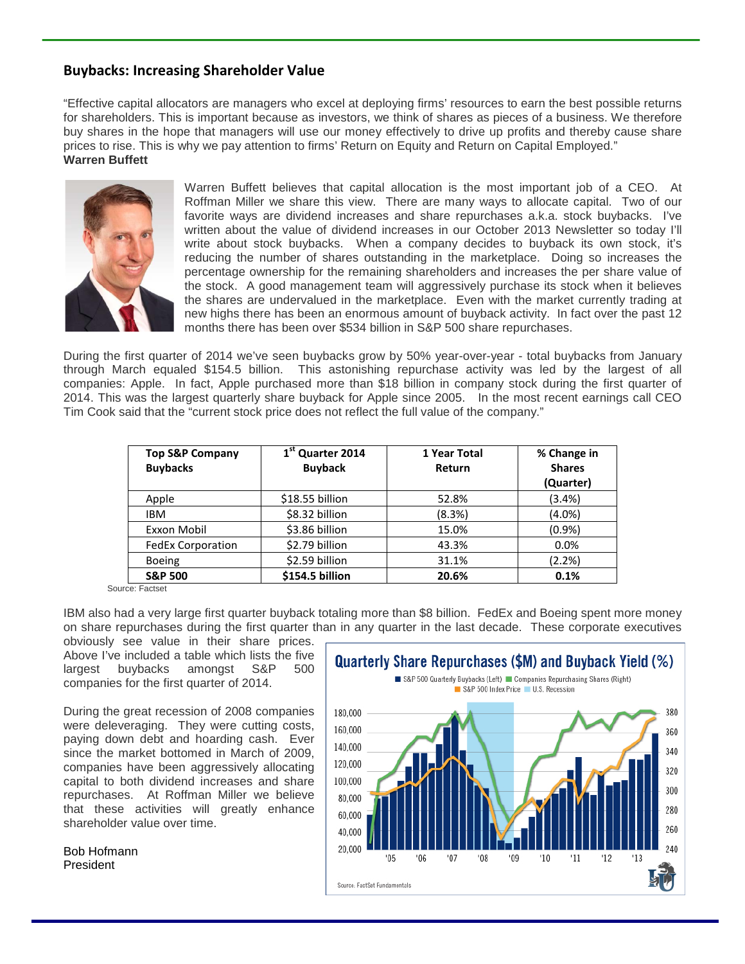# **Buybacks: Increasing Shareholder Value**

"Effective capital allocators are managers who excel at deploying firms' resources to earn the best possible returns for shareholders. This is important because as investors, we think of shares as pieces of a business. We therefore buy shares in the hope that managers will use our money effectively to drive up profits and thereby cause share prices to rise. This is why we pay attention to firms' Return on Equity and Return on Capital Employed." **Warren Buffett** 



Warren Buffett believes that capital allocation is the most important job of a CEO. At Roffman Miller we share this view. There are many ways to allocate capital. Two of our favorite ways are dividend increases and share repurchases a.k.a. stock buybacks. I've written about the value of dividend increases in our October 2013 Newsletter so today I'll write about stock buybacks. When a company decides to buyback its own stock, it's reducing the number of shares outstanding in the marketplace. Doing so increases the percentage ownership for the remaining shareholders and increases the per share value of the stock. A good management team will aggressively purchase its stock when it believes the shares are undervalued in the marketplace. Even with the market currently trading at new highs there has been an enormous amount of buyback activity. In fact over the past 12 months there has been over \$534 billion in S&P 500 share repurchases.

During the first quarter of 2014 we've seen buybacks grow by 50% year-over-year - total buybacks from January through March equaled \$154.5 billion. This astonishing repurchase activity was led by the largest of all companies: Apple. In fact, Apple purchased more than \$18 billion in company stock during the first quarter of 2014. This was the largest quarterly share buyback for Apple since 2005. In the most recent earnings call CEO Tim Cook said that the "current stock price does not reflect the full value of the company."

| <b>Top S&amp;P Company</b><br><b>Buybacks</b> | 1 <sup>st</sup> Quarter 2014<br><b>Buyback</b> | 1 Year Total<br>Return | % Change in<br><b>Shares</b><br>(Quarter) |
|-----------------------------------------------|------------------------------------------------|------------------------|-------------------------------------------|
| Apple                                         | \$18.55 billion                                | 52.8%                  | (3.4%)                                    |
| <b>IBM</b>                                    | \$8.32 billion                                 | (8.3%)                 | $(4.0\%)$                                 |
| Exxon Mobil                                   | \$3.86 billion                                 | 15.0%                  | (0.9%                                     |
| <b>FedEx Corporation</b>                      | \$2.79 billion                                 | 43.3%                  | 0.0%                                      |
| <b>Boeing</b>                                 | \$2.59 billion                                 | 31.1%                  | (2.2%)                                    |
| <b>S&amp;P 500</b>                            | \$154.5 billion                                | 20.6%                  | 0.1%                                      |

Source: Factset

IBM also had a very large first quarter buyback totaling more than \$8 billion. FedEx and Boeing spent more money on share repurchases during the first quarter than in any quarter in the last decade. These corporate executives

obviously see value in their share prices. Above I've included a table which lists the five largest buybacks amongst S&P 500 companies for the first quarter of 2014.

During the great recession of 2008 companies were deleveraging. They were cutting costs, paying down debt and hoarding cash. Ever since the market bottomed in March of 2009, companies have been aggressively allocating capital to both dividend increases and share repurchases. At Roffman Miller we believe that these activities will greatly enhance shareholder value over time.

Bob Hofmann President

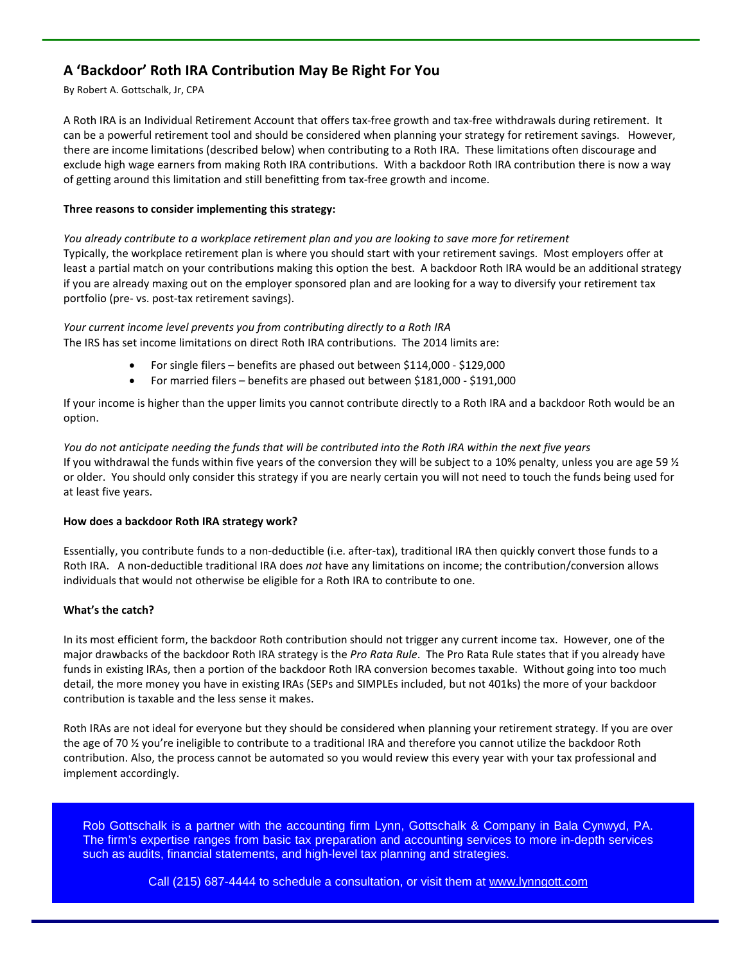# **A 'Backdoor' Roth IRA Contribution May Be Right For You**

#### By Robert A. Gottschalk, Jr, CPA

A Roth IRA is an Individual Retirement Account that offers tax-free growth and tax-free withdrawals during retirement. It can be a powerful retirement tool and should be considered when planning your strategy for retirement savings. However, there are income limitations (described below) when contributing to a Roth IRA. These limitations often discourage and exclude high wage earners from making Roth IRA contributions. With a backdoor Roth IRA contribution there is now a way of getting around this limitation and still benefitting from tax-free growth and income.

#### **Three reasons to consider implementing this strategy:**

*You already contribute to a workplace retirement plan and you are looking to save more for retirement*  Typically, the workplace retirement plan is where you should start with your retirement savings. Most employers offer at least a partial match on your contributions making this option the best. A backdoor Roth IRA would be an additional strategy if you are already maxing out on the employer sponsored plan and are looking for a way to diversify your retirement tax portfolio (pre- vs. post-tax retirement savings).

#### *Your current income level prevents you from contributing directly to a Roth IRA*

The IRS has set income limitations on direct Roth IRA contributions. The 2014 limits are:

- For single filers benefits are phased out between \$114,000 \$129,000
- For married filers benefits are phased out between \$181,000 \$191,000

If your income is higher than the upper limits you cannot contribute directly to a Roth IRA and a backdoor Roth would be an option.

#### *You do not anticipate needing the funds that will be contributed into the Roth IRA within the next five years* If you withdrawal the funds within five years of the conversion they will be subject to a 10% penalty, unless you are age 59  $\frac{1}{2}$ or older. You should only consider this strategy if you are nearly certain you will not need to touch the funds being used for at least five years.

#### **How does a backdoor Roth IRA strategy work?**

Essentially, you contribute funds to a non-deductible (i.e. after-tax), traditional IRA then quickly convert those funds to a Roth IRA. A non-deductible traditional IRA does *not* have any limitations on income; the contribution/conversion allows individuals that would not otherwise be eligible for a Roth IRA to contribute to one.

#### **What's the catch?**

In its most efficient form, the backdoor Roth contribution should not trigger any current income tax. However, one of the major drawbacks of the backdoor Roth IRA strategy is the *Pro Rata Rule*. The Pro Rata Rule states that if you already have funds in existing IRAs, then a portion of the backdoor Roth IRA conversion becomes taxable. Without going into too much detail, the more money you have in existing IRAs (SEPs and SIMPLEs included, but not 401ks) the more of your backdoor contribution is taxable and the less sense it makes.

Roth IRAs are not ideal for everyone but they should be considered when planning your retirement strategy. If you are over the age of 70 % you're ineligible to contribute to a traditional IRA and therefore you cannot utilize the backdoor Roth contribution. Also, the process cannot be automated so you would review this every year with your tax professional and implement accordingly.

Rob Gottschalk is a partner with the accounting firm Lynn, Gottschalk & Company in Bala Cynwyd, PA. The firm's expertise ranges from basic tax preparation and accounting services to more in-depth services such as audits, financial statements, and high-level tax planning and strategies.

Call (215) 687-4444 to schedule a consultation, or visit them at [www.lynngott.com](http://www.klenklaw.com/)